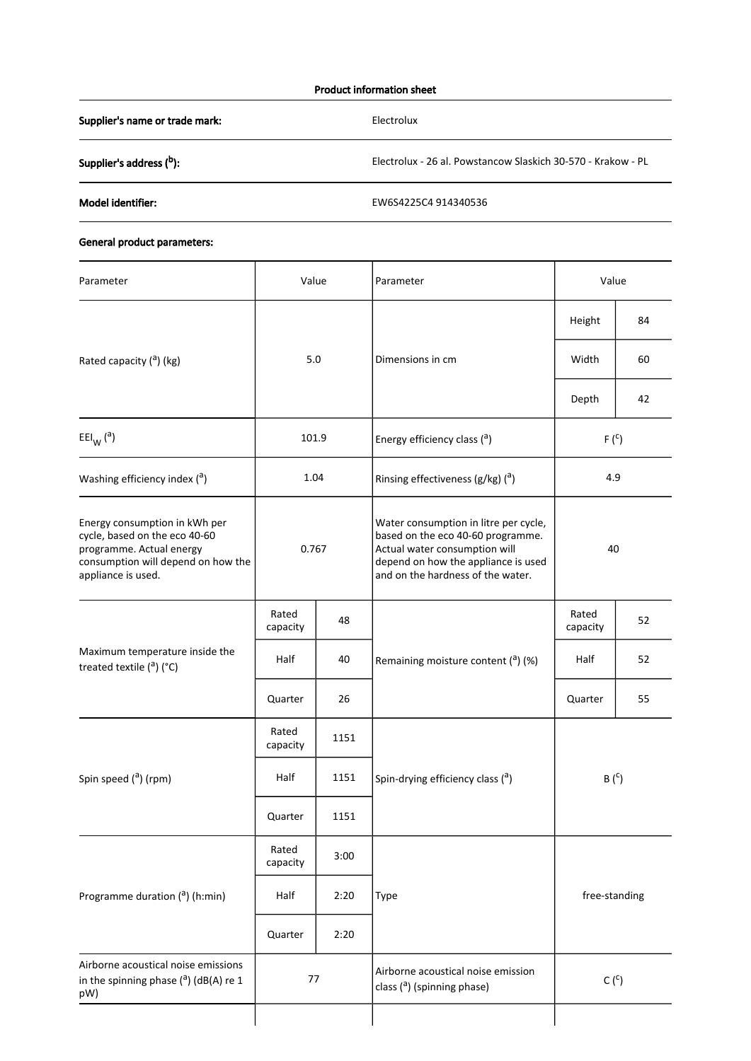## Product information sheet

Supplier's name or trade mark: Electrolux

Supplier's address (<sup>b</sup>): **b Electrolux - 26 al. Powstancow Slaskich 30-570 - Krakow - PL** 

Model identifier: EW6S4225C4 914340536

## General product parameters:

| Parameter                                                                                                                                              | Value<br>Parameter |      |                                                                                                                                                                                         | Value             |    |
|--------------------------------------------------------------------------------------------------------------------------------------------------------|--------------------|------|-----------------------------------------------------------------------------------------------------------------------------------------------------------------------------------------|-------------------|----|
|                                                                                                                                                        |                    |      |                                                                                                                                                                                         | Height            | 84 |
| Rated capacity ( <sup>a</sup> ) (kg)                                                                                                                   | 5.0                |      | Dimensions in cm                                                                                                                                                                        | Width             | 60 |
|                                                                                                                                                        |                    |      |                                                                                                                                                                                         | Depth             | 42 |
| $EEl_{W} (a)$                                                                                                                                          | 101.9              |      | Energy efficiency class (a)                                                                                                                                                             | $F(^{C})$         |    |
| Washing efficiency index $(3)$                                                                                                                         | 1.04               |      | Rinsing effectiveness ( $g/kg$ ) ( $a$ )                                                                                                                                                | 4.9               |    |
| Energy consumption in kWh per<br>cycle, based on the eco 40-60<br>programme. Actual energy<br>consumption will depend on how the<br>appliance is used. | 0.767              |      | Water consumption in litre per cycle,<br>based on the eco 40-60 programme.<br>Actual water consumption will<br>depend on how the appliance is used<br>and on the hardness of the water. | 40                |    |
| Maximum temperature inside the<br>treated textile $(^a)$ (°C)                                                                                          | Rated<br>capacity  | 48   | Remaining moisture content $(2)$ (%)                                                                                                                                                    | Rated<br>capacity | 52 |
|                                                                                                                                                        | Half               | 40   |                                                                                                                                                                                         | Half              | 52 |
|                                                                                                                                                        | Quarter            | 26   |                                                                                                                                                                                         | Quarter           | 55 |
| Spin speed ( <sup>a</sup> ) (rpm)                                                                                                                      | Rated<br>capacity  | 1151 |                                                                                                                                                                                         | $B(^c)$           |    |
|                                                                                                                                                        | Half               | 1151 | Spin-drying efficiency class (a)                                                                                                                                                        |                   |    |
|                                                                                                                                                        | Quarter            | 1151 |                                                                                                                                                                                         |                   |    |
| Programme duration ( <sup>a</sup> ) (h:min)                                                                                                            | Rated<br>capacity  | 3:00 |                                                                                                                                                                                         | free-standing     |    |
|                                                                                                                                                        | Half               | 2:20 | Type                                                                                                                                                                                    |                   |    |
|                                                                                                                                                        | Quarter            | 2:20 |                                                                                                                                                                                         |                   |    |
| Airborne acoustical noise emissions<br>in the spinning phase $($ <sup>a</sup> ) (dB(A) re 1<br>pW)                                                     | 77                 |      | Airborne acoustical noise emission<br>class $($ <sup>a</sup> ) (spinning phase)                                                                                                         | $C(^c)$           |    |
|                                                                                                                                                        |                    |      |                                                                                                                                                                                         |                   |    |